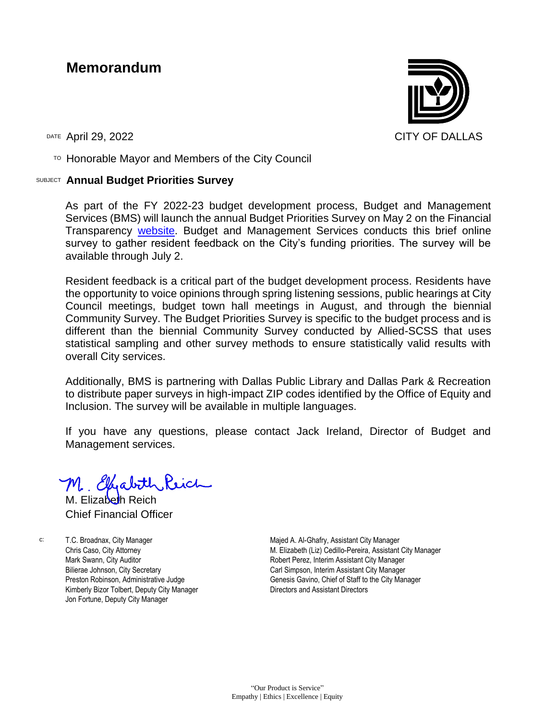## **Memorandum**

DATE ADril 29, 2022 CITY OF DALLAS

 $T$ <sup>O</sup> Honorable Mayor and Members of the City Council

## SUBJECT **Annual Budget Priorities Survey**

As part of the FY 2022-23 budget development process, Budget and Management Services (BMS) will launch the annual Budget Priorities Survey on May 2 on the Financial Transparency [website.](https://forms.office.com/g/Sx8zk1BzTN) Budget and Management Services conducts this brief online survey to gather resident feedback on the City's funding priorities. The survey will be available through July 2.

Resident feedback is a critical part of the budget development process. Residents have the opportunity to voice opinions through spring listening sessions, public hearings at City Council meetings, budget town hall meetings in August, and through the biennial Community Survey. The Budget Priorities Survey is specific to the budget process and is different than the biennial Community Survey conducted by Allied-SCSS that uses statistical sampling and other survey methods to ensure statistically valid results with overall City services.

Additionally, BMS is partnering with Dallas Public Library and Dallas Park & Recreation to distribute paper surveys in high-impact ZIP codes identified by the Office of Equity and Inclusion. The survey will be available in multiple languages.

If you have any questions, please contact Jack Ireland, Director of Budget and Management services.

M. Elizabeth Reich Chief Financial Officer

c: T.C. Broadnax, City Manager Chris Caso, City Attorney Mark Swann, City Auditor Bilierae Johnson, City Secretary Preston Robinson, Administrative Judge Kimberly Bizor Tolbert, Deputy City Manager Jon Fortune, Deputy City Manager

Majed A. Al-Ghafry, Assistant City Manager M. Elizabeth (Liz) Cedillo-Pereira, Assistant City Manager Robert Perez, Interim Assistant City Manager Carl Simpson, Interim Assistant City Manager Genesis Gavino, Chief of Staff to the City Manager Directors and Assistant Directors